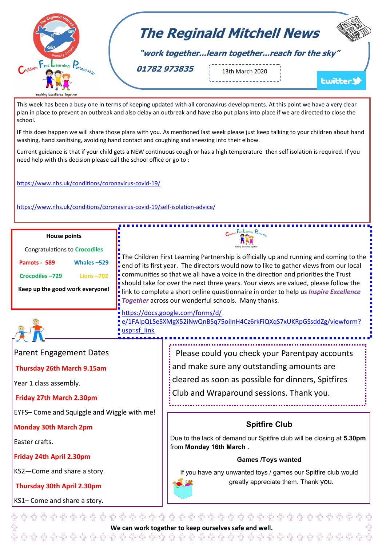

This week has been a busy one in terms of keeping updated with all coronavirus developments. At this point we have a very clear plan in place to prevent an outbreak and also delay an outbreak and have also put plans into place if we are directed to close the school.

**IF** this does happen we will share those plans with you. As mentioned last week please just keep talking to your children about hand washing, hand sanitising, avoiding hand contact and coughing and sneezing into their elbow.

Current guidance is that if your child gets a NEW continuous cough or has a high temperature then self isolation is required. If you need help with this decision please call the school office or go to :

[https://www.nhs.uk/conditions/coronavirus](https://www.nhs.uk/conditions/coronavirus-covid-19/)-covid-19/

[https://www.nhs.uk/conditions/coronavirus](https://www.nhs.uk/conditions/coronavirus-covid-19/self-isolation-advice/)-covid-19/self-isolation-advice/

| <b>House points</b>                  |              |  |
|--------------------------------------|--------------|--|
| <b>Congratulations to Crocodiles</b> |              |  |
| Parrots 589                          | Whales-529   |  |
| Crocodiles-729                       | Lions $-702$ |  |
| Keep up the good work everyone!      |              |  |

**Monday 30th March 2pm**

**Friday 24th April 2.30pm**

Easter crafts.

The Children First Learning Partnership is officially up and running and coming to the end of its first year. The directors would now to like to gather views from our local communities so that we all have a voice in the direction and priorities the Trust should take for over the next three years. Your views are valued, please follow the link to complete a short online questionnaire in order to help us *Inspire Excellence Together* across our wonderful schools. Many thanks.



[https://docs.google.com/forms/d/](https://docs.google.com/forms/d/e/1FAIpQLSeSXMgX52iNwQnBSq75oiInH4Cz6rkFiQXqS7xUKRpGSsddZg/viewform?usp=sf_link) [e/1FAIpQLSeSXMgX52iNwQnBSq75oiInH4Cz6rkFiQXqS7xUKRpGSsddZg/viewform?](https://docs.google.com/forms/d/e/1FAIpQLSeSXMgX52iNwQnBSq75oiInH4Cz6rkFiQXqS7xUKRpGSsddZg/viewform?usp=sf_link)

[usp=sf\\_link](https://docs.google.com/forms/d/e/1FAIpQLSeSXMgX52iNwQnBSq75oiInH4Cz6rkFiQXqS7xUKRpGSsddZg/viewform?usp=sf_link)

| Parent Engagement Dates                     | Please could you check your Parentpay accounts       |
|---------------------------------------------|------------------------------------------------------|
| <b>Thursday 26th March 9.15am</b>           | and make sure any outstanding amounts are            |
| Year 1 class assembly.                      | : cleared as soon as possible for dinners, Spitfires |
| Friday 27th March 2.30pm                    | : Club and Wraparound sessions. Thank you.           |
| EYFS- Come and Squiggle and Wiggle with me! |                                                      |

## **Spitfire Club**

Due to the lack of demand our Spitfire club will be closing at **5.30pm**  from **Monday 16th March .**

## **Games /Toys wanted**

If you have any unwanted toys / games our Spitfire club would greatly appreciate them. Thank you.

**Thursday 30th April 2.30pm** KS1– Come and share a story.

KS2—Come and share a story.

**We can work together to keep ourselves safe and well.**

 $\hat{\mathfrak{h}}$   $\hat{\mathfrak{h}}$   $\hat{\mathfrak{h}}$   $\hat{\mathfrak{h}}$   $\hat{\mathfrak{h}}$   $\hat{\mathfrak{h}}$   $\hat{\mathfrak{h}}$   $\hat{\mathfrak{h}}$   $\hat{\mathfrak{h}}$   $\hat{\mathfrak{h}}$   $\hat{\mathfrak{h}}$   $\hat{\mathfrak{h}}$   $\hat{\mathfrak{h}}$   $\hat{\mathfrak{h}}$   $\hat{\mathfrak{h}}$   $\hat{\mathfrak{h}}$   $\hat{\mathfrak{h}}$   $\hat{\mathfrak{h}}$   $\hat{\math$